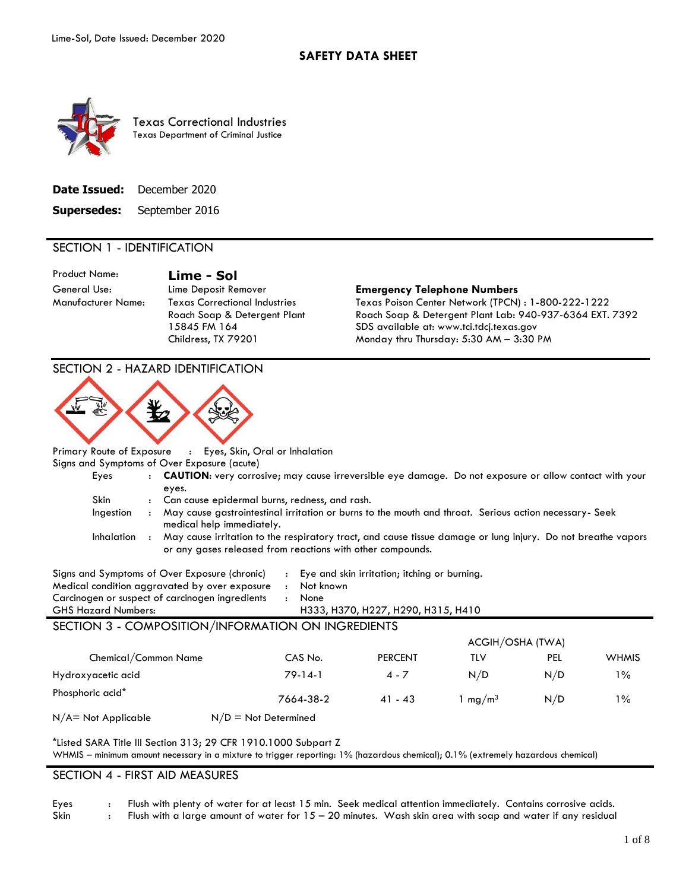

Texas Correctional Industries Texas Department of Criminal Justice

| Date Issued: | December 2020  |
|--------------|----------------|
| Supersedes:  | September 2016 |

#### SECTION 1 - IDENTIFICATION

Product Name: **Lime - Sol**

Manufacturer Name: Texas Correctional Industries Roach Soap & Detergent Plant 15845 FM 164 Childress, TX 79201

#### General Use: Lime Deposit Remover **Emergency Telephone Numbers**

Texas Poison Center Network (TPCN) : 1-800-222-1222 Roach Soap & Detergent Plant Lab: 940-937-6364 EXT. 7392 SDS available at: www.tci.tdcj.texas.gov Monday thru Thursday: 5:30 AM – 3:30 PM

| <b>SECTION 2 - HAZARD IDENTIFICATION</b>                                                                                                                                                           |                                                                                                        |                                                                                    |                     |     |              |
|----------------------------------------------------------------------------------------------------------------------------------------------------------------------------------------------------|--------------------------------------------------------------------------------------------------------|------------------------------------------------------------------------------------|---------------------|-----|--------------|
|                                                                                                                                                                                                    |                                                                                                        |                                                                                    |                     |     |              |
| Primary Route of Exposure                                                                                                                                                                          | : Eyes, Skin, Oral or Inhalation                                                                       |                                                                                    |                     |     |              |
| Signs and Symptoms of Over Exposure (acute)                                                                                                                                                        |                                                                                                        |                                                                                    |                     |     |              |
| Eyes<br>$\ddot{\phantom{0}}$                                                                                                                                                                       | CAUTION: very corrosive; may cause irreversible eye damage. Do not exposure or allow contact with your |                                                                                    |                     |     |              |
| eyes.                                                                                                                                                                                              |                                                                                                        |                                                                                    |                     |     |              |
| <b>Skin</b>                                                                                                                                                                                        | : Can cause epidermal burns, redness, and rash.                                                        |                                                                                    |                     |     |              |
| Ingestion<br>$\mathbf{r}$<br>medical help immediately.                                                                                                                                             | May cause gastrointestinal irritation or burns to the mouth and throat. Serious action necessary- Seek |                                                                                    |                     |     |              |
| Inhalation : May cause irritation to the respiratory tract, and cause tissue damage or lung injury. Do not breathe vapors                                                                          |                                                                                                        |                                                                                    |                     |     |              |
|                                                                                                                                                                                                    | or any gases released from reactions with other compounds.                                             |                                                                                    |                     |     |              |
| Signs and Symptoms of Over Exposure (chronic)<br>Medical condition aggravated by over exposure<br>Carcinogen or suspect of carcinogen ingredients<br><b>GHS Hazard Numbers:</b>                    | Not known<br>$\mathbf{r}$<br>None<br>$\mathbf{r}$                                                      | Eye and skin irritation; itching or burning.<br>H333, H370, H227, H290, H315, H410 |                     |     |              |
| SECTION 3 - COMPOSITION/INFORMATION ON INGREDIENTS                                                                                                                                                 |                                                                                                        |                                                                                    |                     |     |              |
|                                                                                                                                                                                                    |                                                                                                        |                                                                                    | ACGIH/OSHA (TWA)    |     |              |
| Chemical/Common Name                                                                                                                                                                               | CAS No.                                                                                                | <b>PERCENT</b>                                                                     | <b>TLV</b>          | PEL | <b>WHMIS</b> |
| Hydroxyacetic acid                                                                                                                                                                                 | $79-14-1$                                                                                              | $4 - 7$                                                                            | N/D                 | N/D | $1\%$        |
| Phosphoric acid*                                                                                                                                                                                   | 7664-38-2                                                                                              | $41 - 43$                                                                          | 1 mg/m <sup>3</sup> | N/D | $1\%$        |
| N/A= Not Applicable<br>$N/D = Not$ Determined                                                                                                                                                      |                                                                                                        |                                                                                    |                     |     |              |
| *Listed SARA Title III Section 313; 29 CFR 1910.1000 Subpart Z<br>WHMIS - minimum amount necessary in a mixture to trigger reporting: 1% (hazardous chemical); 0.1% (extremely hazardous chemical) |                                                                                                        |                                                                                    |                     |     |              |
| SECTION 4 - FIRST AID MEASURES                                                                                                                                                                     |                                                                                                        |                                                                                    |                     |     |              |

#### Eyes : Flush with plenty of water for at least 15 min. Seek medical attention immediately. Contains corrosive acids.

Skin : Flush with a large amount of water for  $15 - 20$  minutes. Wash skin area with soap and water if any residual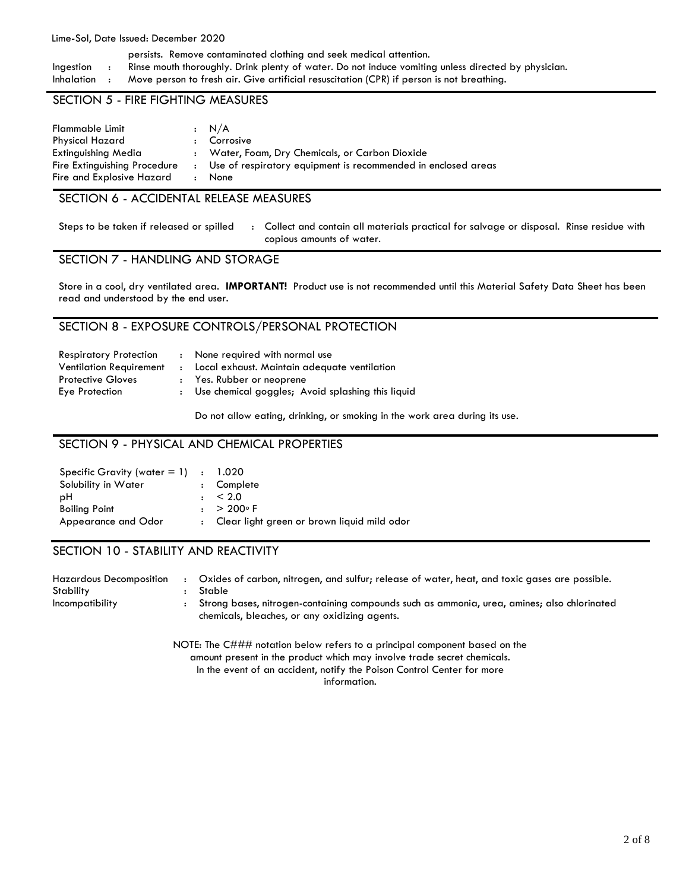#### Lime-Sol, Date Issued: December 2020

persists. Remove contaminated clothing and seek medical attention. Ingestion : Rinse mouth thoroughly. Drink plenty of water. Do not induce vomiting unless directed by physician. Inhalation : Move person to fresh air. Give artificial resuscitation (CPR) if person is not breathing.

#### SECTION 5 - FIRE FIGHTING MEASURES

| Flammable Limit<br>Physical Hazard<br>Extinguishing Media<br>Fire Extinguishing Procedure |              | $\cdot$ N/A<br>: Corrosive<br>: Water, Foam, Dry Chemicals, or Carbon Dioxide<br>: Use of respiratory equipment is recommended in enclosed areas |
|-------------------------------------------------------------------------------------------|--------------|--------------------------------------------------------------------------------------------------------------------------------------------------|
| Fire and Explosive Hazard                                                                 | $\mathbf{r}$ | None                                                                                                                                             |

#### SECTION 6 - ACCIDENTAL RELEASE MEASURES

Steps to be taken if released or spilled : Collect and contain all materials practical for salvage or disposal. Rinse residue with copious amounts of water.

### SECTION 7 - HANDLING AND STORAGE

Store in a cool, dry ventilated area. **IMPORTANT!** Product use is not recommended until this Material Safety Data Sheet has been read and understood by the end user.

#### SECTION 8 - EXPOSURE CONTROLS/PERSONAL PROTECTION

| <b>Respiratory Protection</b>  | : None required with normal use                     |
|--------------------------------|-----------------------------------------------------|
| <b>Ventilation Requirement</b> | : Local exhaust. Maintain adequate ventilation      |
| <b>Protective Gloves</b>       | : Yes. Rubber or neoprene                           |
| Eye Protection                 | : Use chemical goggles; Avoid splashing this liquid |

Do not allow eating, drinking, or smoking in the work area during its use.

### SECTION 9 - PHYSICAL AND CHEMICAL PROPERTIES

| Specific Gravity (water $= 1$ ) : 1.020 |                                               |
|-----------------------------------------|-----------------------------------------------|
| Solubility in Water                     | : Complete                                    |
| рH                                      | $\pm$ < 2.0                                   |
| <b>Boiling Point</b>                    | $: > 200^{\circ}$ F                           |
| Appearance and Odor                     | : Clear light green or brown liguid mild odor |

#### SECTION 10 - STABILITY AND REACTIVITY

| <b>Hazardous Decomposition</b> | Oxides of carbon, nitrogen, and sulfur; release of water, heat, and toxic gases are possible.                                                |
|--------------------------------|----------------------------------------------------------------------------------------------------------------------------------------------|
| Stability                      | Stable                                                                                                                                       |
| Incompatibility                | Strong bases, nitrogen-containing compounds such as ammonia, urea, amines; also chlorinated<br>chemicals, bleaches, or any oxidizing agents. |

NOTE: The C### notation below refers to a principal component based on the amount present in the product which may involve trade secret chemicals. In the event of an accident, notify the Poison Control Center for more information.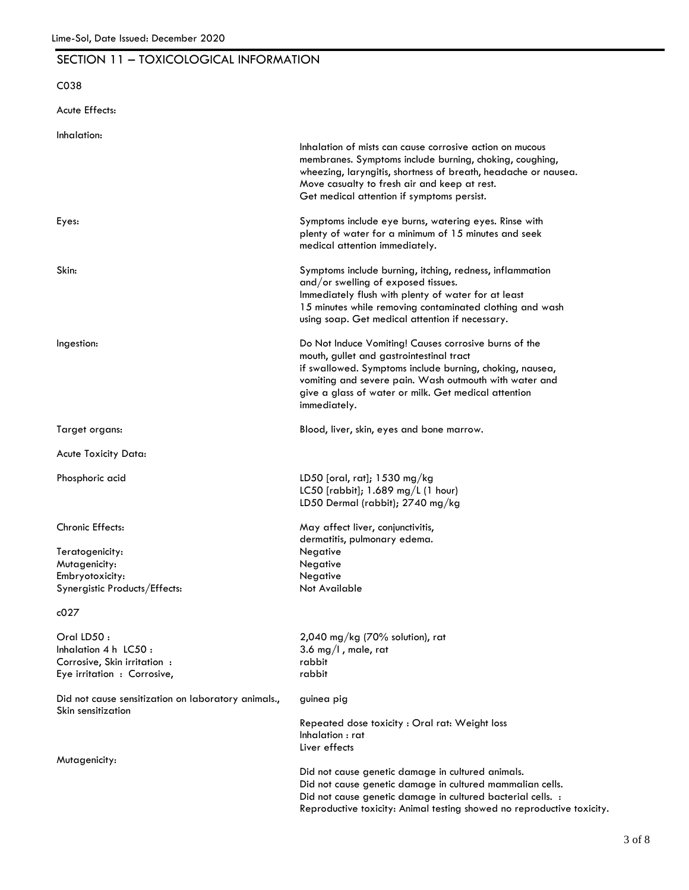## SECTION 11 – TOXICOLOGICAL INFORMATION

# C038

Acute Effects:

| Inhalation:                                                               |                                                                        |
|---------------------------------------------------------------------------|------------------------------------------------------------------------|
|                                                                           | Inhalation of mists can cause corrosive action on mucous               |
|                                                                           | membranes. Symptoms include burning, choking, coughing,                |
|                                                                           | wheezing, laryngitis, shortness of breath, headache or nausea.         |
|                                                                           | Move casualty to fresh air and keep at rest.                           |
|                                                                           | Get medical attention if symptoms persist.                             |
| Eyes:                                                                     | Symptoms include eye burns, watering eyes. Rinse with                  |
|                                                                           | plenty of water for a minimum of 15 minutes and seek                   |
|                                                                           | medical attention immediately.                                         |
| Skin:                                                                     | Symptoms include burning, itching, redness, inflammation               |
|                                                                           |                                                                        |
|                                                                           | and/or swelling of exposed tissues.                                    |
|                                                                           | Immediately flush with plenty of water for at least                    |
|                                                                           | 15 minutes while removing contaminated clothing and wash               |
|                                                                           | using soap. Get medical attention if necessary.                        |
| Ingestion:                                                                | Do Not Induce Vomiting! Causes corrosive burns of the                  |
|                                                                           | mouth, gullet and gastrointestinal tract                               |
|                                                                           | if swallowed. Symptoms include burning, choking, nausea,               |
|                                                                           | vomiting and severe pain. Wash outmouth with water and                 |
|                                                                           | give a glass of water or milk. Get medical attention                   |
|                                                                           | immediately.                                                           |
|                                                                           |                                                                        |
| Target organs:                                                            | Blood, liver, skin, eyes and bone marrow.                              |
| Acute Toxicity Data:                                                      |                                                                        |
| Phosphoric acid                                                           | LD50 [oral, rat]; 1530 mg/kg                                           |
|                                                                           | LC50 [rabbit]; 1.689 mg/L (1 hour)                                     |
|                                                                           | LD50 Dermal (rabbit); 2740 mg/kg                                       |
| Chronic Effects:                                                          | May affect liver, conjunctivitis,                                      |
|                                                                           | dermatitis, pulmonary edema.                                           |
|                                                                           |                                                                        |
| Teratogenicity:                                                           | Negative                                                               |
| Mutagenicity:                                                             | Negative                                                               |
| Embryotoxicity:                                                           | Negative                                                               |
| Synergistic Products/Effects:                                             | Not Available                                                          |
| c027                                                                      |                                                                        |
| Oral LD50 :                                                               | $2,040$ mg/kg (70% solution), rat                                      |
| Inhalation $4 h$ LC50:                                                    | 3.6 mg/l, male, rat                                                    |
| Corrosive, Skin irritation:                                               | rabbit                                                                 |
| Eye irritation : Corrosive,                                               | rabbit                                                                 |
|                                                                           |                                                                        |
| Did not cause sensitization on laboratory animals.,<br>Skin sensitization | guinea pig                                                             |
|                                                                           | Repeated dose toxicity : Oral rat: Weight loss                         |
|                                                                           | Inhalation: rat                                                        |
|                                                                           |                                                                        |
| Mutagenicity:                                                             | Liver effects                                                          |
|                                                                           | Did not cause genetic damage in cultured animals.                      |
|                                                                           | Did not cause genetic damage in cultured mammalian cells.              |
|                                                                           | Did not cause genetic damage in cultured bacterial cells. :            |
|                                                                           | Reproductive toxicity: Animal testing showed no reproductive toxicity. |
|                                                                           |                                                                        |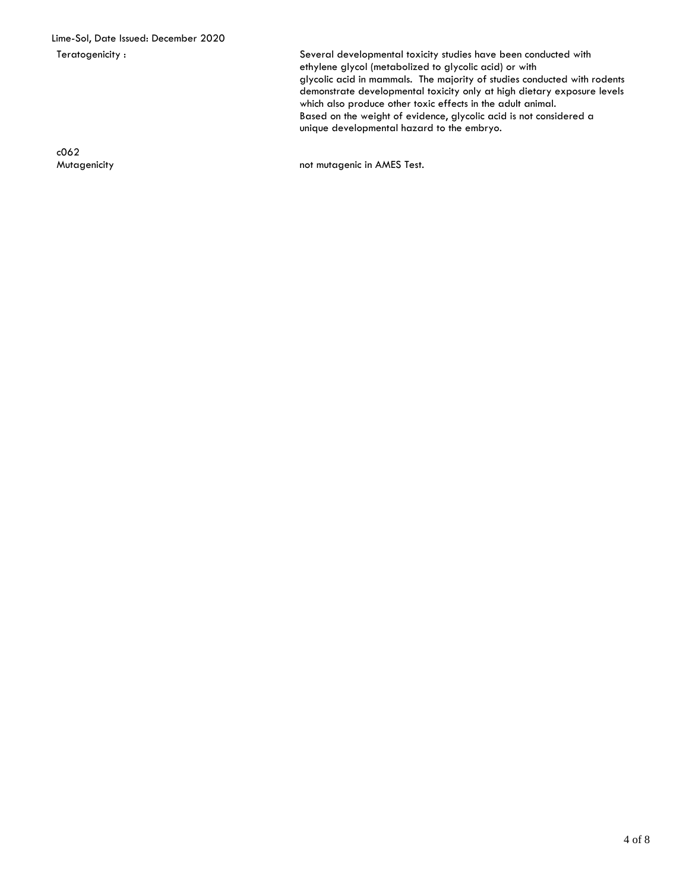Teratogenicity : Several developmental toxicity studies have been conducted with ethylene glycol (metabolized to glycolic acid) or with glycolic acid in mammals. The majority of studies conducted with rodents demonstrate developmental toxicity only at high dietary exposure levels which also produce other toxic effects in the adult animal. Based on the weight of evidence, glycolic acid is not considered a unique developmental hazard to the embryo.

c062

Mutagenicity **not mutagenic in AMES Test.**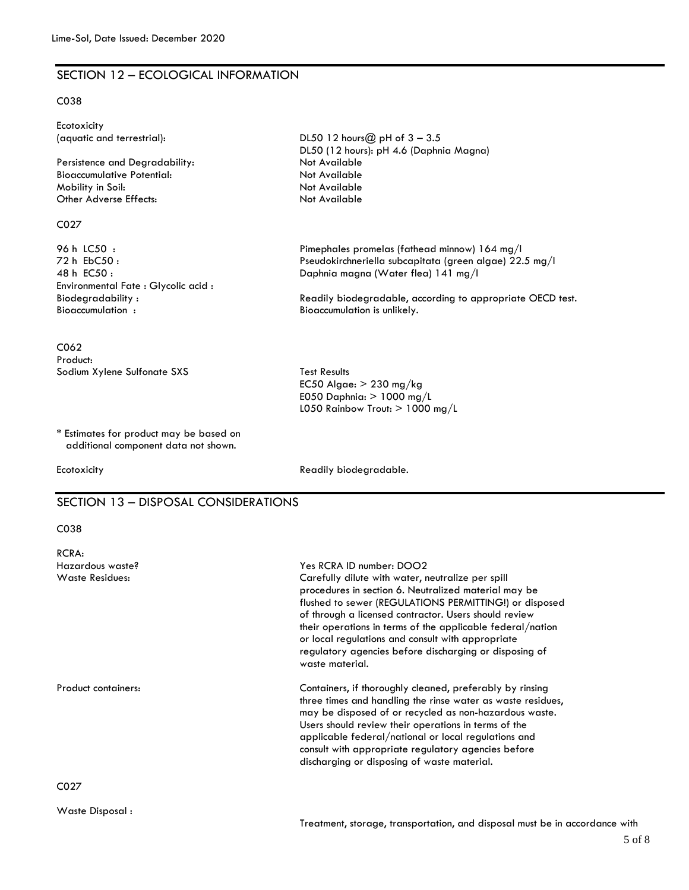### SECTION 12 – ECOLOGICAL INFORMATION

#### C038

| Ecotoxicity<br>(aquatic and terrestrial):<br>Persistence and Degradability:<br><b>Bioaccumulative Potential:</b><br>Mobility in Soil: | DL50 12 hours $@$ pH of $3 - 3.5$<br>DL50 (12 hours): pH 4.6 (Daphnia Magna)<br>Not Available<br>Not Available<br>Not Available                                                                                                               |
|---------------------------------------------------------------------------------------------------------------------------------------|-----------------------------------------------------------------------------------------------------------------------------------------------------------------------------------------------------------------------------------------------|
| Other Adverse Effects:                                                                                                                | Not Available                                                                                                                                                                                                                                 |
| CO <sub>27</sub>                                                                                                                      |                                                                                                                                                                                                                                               |
| 96 h LC50:<br>72 h EbC50:<br>48 h EC50:<br>Environmental Fate : Glycolic acid :<br>Biodegradability:<br>Bioaccumulation:              | Pimephales promelas (fathead minnow) 164 mg/l<br>Pseudokirchneriella subcapitata (green algae) 22.5 mg/l<br>Daphnia magna (Water flea) 141 mg/l<br>Readily biodegradable, according to appropriate OECD test.<br>Bioaccumulation is unlikely. |
| C <sub>062</sub><br>Product:                                                                                                          |                                                                                                                                                                                                                                               |
| Sodium Xylene Sulfonate SXS                                                                                                           | <b>Test Results</b><br>EC50 Algae: $> 230$ mg/kg<br>E050 Daphnia: $> 1000$ mg/L<br>L050 Rainbow Trout: $> 1000$ mg/L                                                                                                                          |
| * Estimates for product may be based on<br>additional component data not shown.                                                       |                                                                                                                                                                                                                                               |
| Ecotoxicity                                                                                                                           | Readily biodegradable.                                                                                                                                                                                                                        |
| SECTION 13 - DISPOSAL CONSIDERATIONS                                                                                                  |                                                                                                                                                                                                                                               |

#### C038

| RCRA:                               |                                                                                                                                                                                                                                                                                                                                                                                                                                                          |
|-------------------------------------|----------------------------------------------------------------------------------------------------------------------------------------------------------------------------------------------------------------------------------------------------------------------------------------------------------------------------------------------------------------------------------------------------------------------------------------------------------|
| Hazardous waste?<br>Waste Residues: | Yes RCRA ID number: DOO2<br>Carefully dilute with water, neutralize per spill<br>procedures in section 6. Neutralized material may be<br>flushed to sewer (REGULATIONS PERMITTING!) or disposed<br>of through a licensed contractor. Users should review<br>their operations in terms of the applicable federal/nation<br>or local regulations and consult with appropriate<br>regulatory agencies before discharging or disposing of<br>waste material. |
| Product containers:                 | Containers, if thoroughly cleaned, preferably by rinsing<br>three times and handling the rinse water as waste residues,<br>may be disposed of or recycled as non-hazardous waste.<br>Users should review their operations in terms of the<br>applicable federal/national or local regulations and<br>consult with appropriate regulatory agencies before<br>discharging or disposing of waste material.                                                  |
| C027                                |                                                                                                                                                                                                                                                                                                                                                                                                                                                          |

Waste Disposal :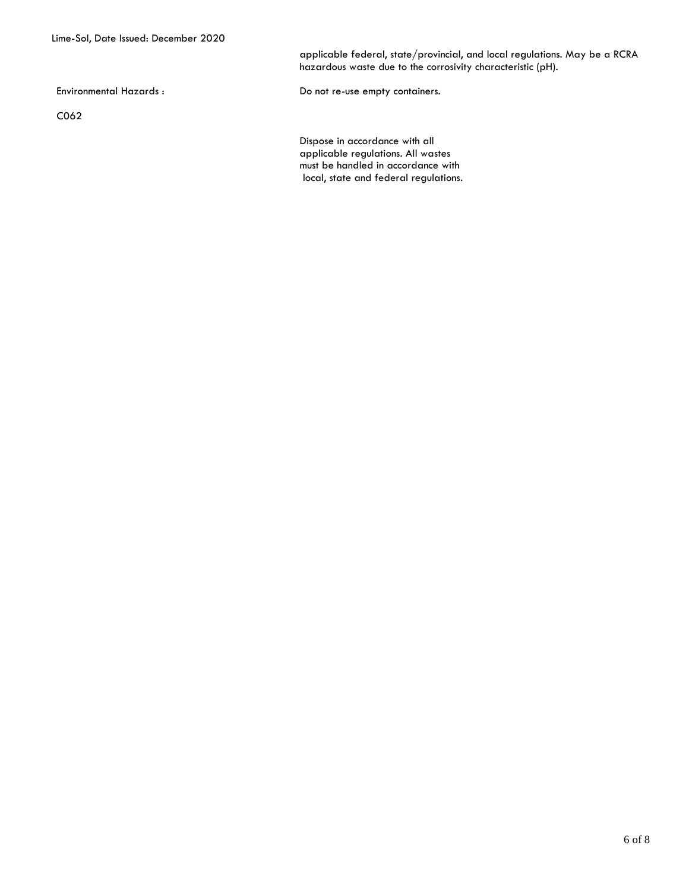applicable federal, state/provincial, and local regulations. May be a RCRA hazardous waste due to the corrosivity characteristic (pH).

C062

Environmental Hazards : The Compact of the Do not re-use empty containers.

Dispose in accordance with all applicable regulations. All wastes must be handled in accordance with local, state and federal regulations.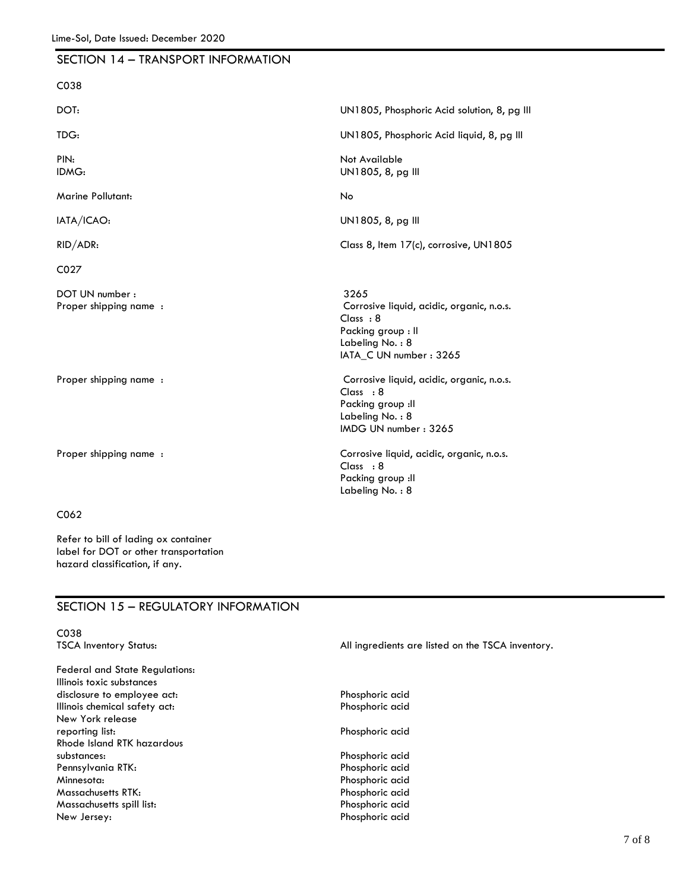| SECTION 14 - TRANSPORT INFORMATION        |                                                                                                                                   |
|-------------------------------------------|-----------------------------------------------------------------------------------------------------------------------------------|
| C038                                      |                                                                                                                                   |
| DOT:                                      | UN1805, Phosphoric Acid solution, 8, pg III                                                                                       |
| TDG:                                      | UN1805, Phosphoric Acid liquid, 8, pg III                                                                                         |
| PIN:<br>IDMG:                             | Not Available<br>UN1805, 8, pg III                                                                                                |
| <b>Marine Pollutant:</b>                  | No                                                                                                                                |
| IATA/ICAO:                                | UN1805, 8, pg III                                                                                                                 |
| RID/ADR:                                  | Class 8, Item 17(c), corrosive, UN1805                                                                                            |
| C027                                      |                                                                                                                                   |
| DOT UN number :<br>Proper shipping name : | 3265<br>Corrosive liquid, acidic, organic, n.o.s.<br>Class : 8<br>Packing group : Il<br>Labeling No.: 8<br>IATA_C UN number: 3265 |
| Proper shipping name :                    | Corrosive liquid, acidic, organic, n.o.s.<br>Class : 8<br>Packing group : Il<br>Labeling No.: 8<br>IMDG UN number: 3265           |
| Proper shipping name:                     | Corrosive liquid, acidic, organic, n.o.s.<br>Class : 8<br>Packing group : Il<br>Labeling No.: 8                                   |
| C <sub>062</sub>                          |                                                                                                                                   |

## SECTION 15 – REGULATORY INFORMATION

Refer to bill of lading ox container label for DOT or other transportation

hazard classification, if any.

| C038                              |                                                   |
|-----------------------------------|---------------------------------------------------|
| <b>TSCA Inventory Status:</b>     | All ingredients are listed on the TSCA inventory. |
|                                   |                                                   |
| Federal and State Regulations:    |                                                   |
| Illinois toxic substances         |                                                   |
| disclosure to employee act:       | Phosphoric acid                                   |
| Illinois chemical safety act:     | Phosphoric acid                                   |
| New York release                  |                                                   |
| reporting list:                   | Phosphoric acid                                   |
| <b>Rhode Island RTK hazardous</b> |                                                   |
| substances:                       | Phosphoric acid                                   |
| Pennsylvania RTK:                 | Phosphoric acid                                   |
| Minnesota:                        | Phosphoric acid                                   |
| Massachusetts RTK:                | Phosphoric acid                                   |
| Massachusetts spill list:         | Phosphoric acid                                   |
| New Jersey:                       | Phosphoric acid                                   |